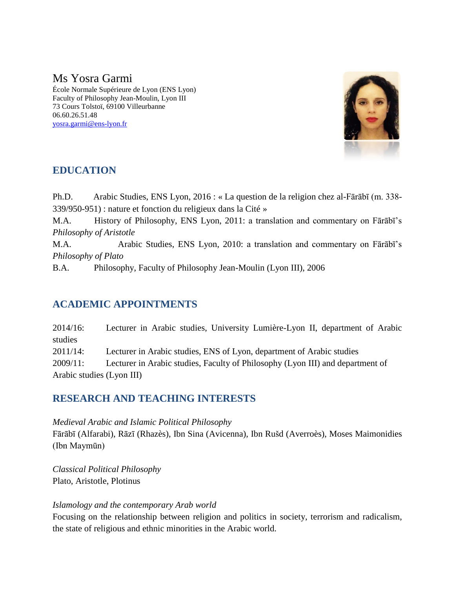# Ms Yosra Garmi

École Normale Supérieure de Lyon (ENS Lyon) Faculty of Philosophy Jean-Moulin, Lyon III 73 Cours Tolstoï, 69100 Villeurbanne 06.60.26.51.48 [yosra.garmi@ens-lyon.fr](mailto:yosra.garmi@ens-lyon.fr)



## **EDUCATION**

Ph.D. Arabic Studies, ENS Lyon, 2016 : « La question de la religion chez al-Fārābī (m. 338- 339/950-951) : nature et fonction du religieux dans la Cité »

M.A. History of Philosophy, ENS Lyon, 2011: a translation and commentary on Fārābī's *Philosophy of Aristotle*

M.A. Arabic Studies, ENS Lyon, 2010: a translation and commentary on Fārābī's *Philosophy of Plato*

B.A. Philosophy, Faculty of Philosophy Jean-Moulin (Lyon III), 2006

## **ACADEMIC APPOINTMENTS**

2014/16: Lecturer in Arabic studies, University Lumière-Lyon II, department of Arabic studies 2011/14: Lecturer in Arabic studies, ENS of Lyon, department of Arabic studies 2009/11: Lecturer in Arabic studies, Faculty of Philosophy (Lyon III) and department of Arabic studies (Lyon III)

### **RESEARCH AND TEACHING INTERESTS**

*Medieval Arabic and Islamic Political Philosophy* Fārābī (Alfarabi), Rāzī (Rhazès), Ibn Sina (Avicenna), Ibn Rušd (Averroès), Moses Maimonidies (Ibn Maymūn)

*Classical Political Philosophy* Plato, Aristotle, Plotinus

#### *Islamology and the contemporary Arab world*

Focusing on the relationship between religion and politics in society, terrorism and radicalism, the state of religious and ethnic minorities in the Arabic world.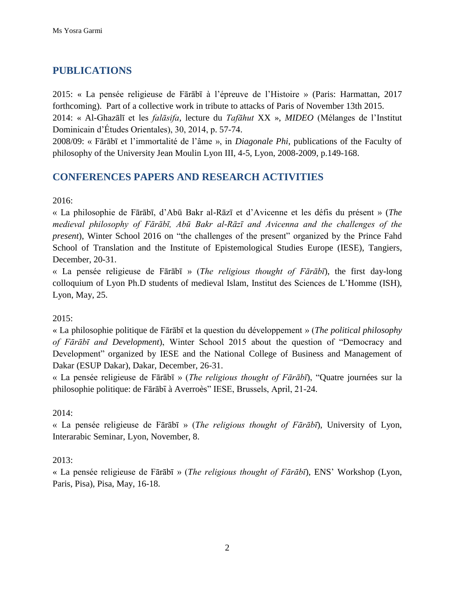## **PUBLICATIONS**

2015: « La pensée religieuse de Fārābī à l'épreuve de l'Histoire » (Paris: Harmattan, 2017 forthcoming). Part of a collective work in tribute to attacks of Paris of November 13th 2015.

2014: « Al-Ghazālī et les *falāsifa*, lecture du *Tafāhut* XX », *MIDEO* (Mélanges de l'Institut Dominicain d'Études Orientales), 30, 2014, p. 57-74.

2008/09: « Fārābī et l'immortalité de l'âme », in *Diagonale Phi*, publications of the Faculty of philosophy of the University Jean Moulin Lyon III, 4-5, Lyon, 2008-2009, p.149-168.

### **CONFERENCES PAPERS AND RESEARCH ACTIVITIES**

2016:

« La philosophie de Fārābī, d'Abū Bakr al-Rāzī et d'Avicenne et les défis du présent » (*The medieval philosophy of Fārābī, Abū Bakr al-Rāzī and Avicenna and the challenges of the present*), Winter School 2016 on "the challenges of the present" organized by the Prince Fahd School of Translation and the Institute of Epistemological Studies Europe (IESE), Tangiers, December, 20-31.

« La pensée religieuse de Fārābī » (*The religious thought of Fārābī*), the first day-long colloquium of Lyon Ph.D students of medieval Islam, Institut des Sciences de L'Homme (ISH), Lyon, May, 25.

2015:

« La philosophie politique de Fārābī et la question du développement » (*The political philosophy of Fārābī and Development*), Winter School 2015 about the question of "Democracy and Development" organized by IESE and the National College of Business and Management of Dakar (ESUP Dakar), Dakar, December, 26-31.

« La pensée religieuse de Fārābī » (*The religious thought of Fārābī*), "Quatre journées sur la philosophie politique: de Fārābī à Averroès" IESE, Brussels, April, 21-24.

2014:

« La pensée religieuse de Fārābī » (*The religious thought of Fārābī*), University of Lyon, Interarabic Seminar, Lyon, November, 8.

2013:

« La pensée religieuse de Fārābī » (*The religious thought of Fārābī*), ENS' Workshop (Lyon, Paris, Pisa), Pisa, May, 16-18.